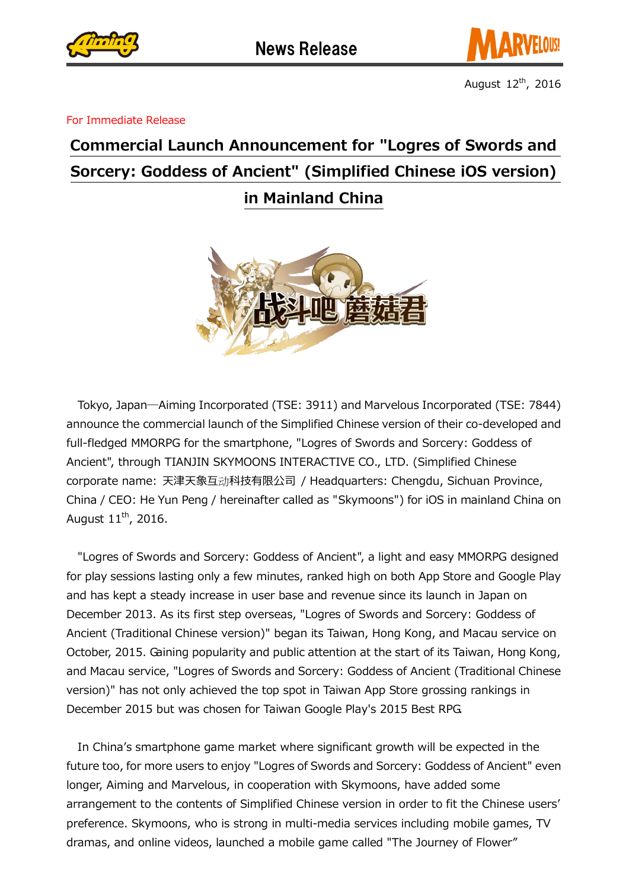



August  $12<sup>th</sup>$ , 2016

For Immediate Release

## Commercial Launch Announcement for "Logres of Swords and Sorcery: Goddess of Ancient" (Simplified Chinese iOS version) in Mainland China



Tokyo, Japan―Aiming Incorporated (TSE: 3911) and Marvelous Incorporated (TSE: 7844) announce the commercial launch of the Simplified Chinese version of their co-developed and full-fledged MMORPG for the smartphone, "Logres of Swords and Sorcery: Goddess of Ancient", through TIANJIN SKYMOONS INTERACTIVE CO., LTD. (Simplified Chinese corporate name: 天津天象互动科技有限公司 / Headquarters: Chengdu, Sichuan Province, China / CEO: He Yun Peng / hereinafter called as "Skymoons") for iOS in mainland China on August  $11<sup>th</sup>$ , 2016.

"Logres of Swords and Sorcery: Goddess of Ancient", a light and easy MMORPG designed for play sessions lasting only a few minutes, ranked high on both App Store and Google Play and has kept a steady increase in user base and revenue since its launch in Japan on December 2013. As its first step overseas, "Logres of Swords and Sorcery: Goddess of Ancient (Traditional Chinese version)" began its Taiwan, Hong Kong, and Macau service on October, 2015. Gaining popularity and public attention at the start of its Taiwan, Hong Kong, and Macau service, "Logres of Swords and Sorcery: Goddess of Ancient (Traditional Chinese version)" has not only achieved the top spot in Taiwan App Store grossing rankings in December 2015 but was chosen for Taiwan Google Play's 2015 Best RPG.

In China's smartphone game market where significant growth will be expected in the future too, for more users to enjoy "Logres of Swords and Sorcery: Goddess of Ancient" even longer, Aiming and Marvelous, in cooperation with Skymoons, have added some arrangement to the contents of Simplified Chinese version in order to fit the Chinese users' preference. Skymoons, who is strong in multi-media services including mobile games, TV dramas, and online videos, launched a mobile game called "The Journey of Flower"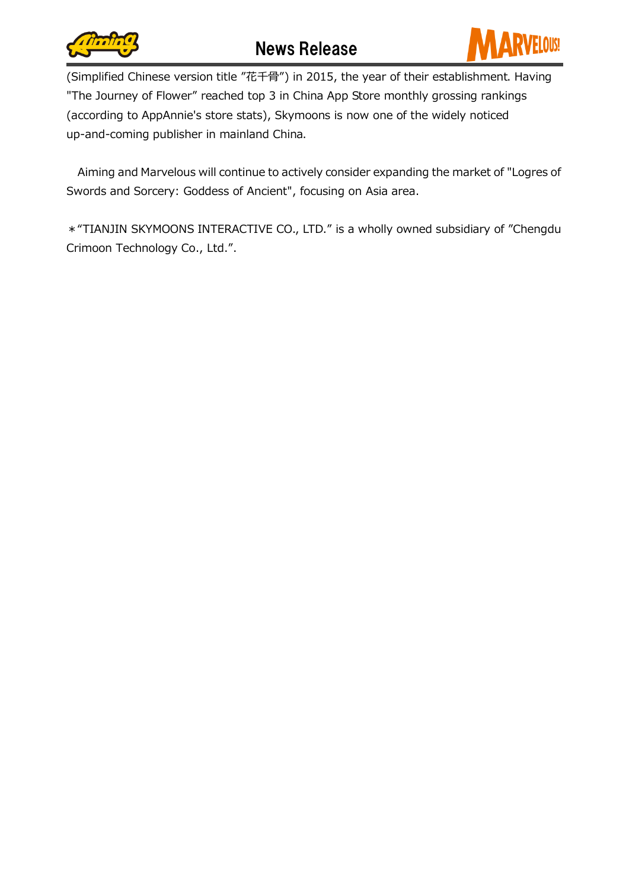

(Simplified Chinese version title "花千骨") in 2015, the year of their establishment. Having "The Journey of Flower" reached top 3 in China App Store monthly grossing rankings (according to AppAnnie's store stats), Skymoons is now one of the widely noticed up-and-coming publisher in mainland China.

Aiming and Marvelous will continue to actively consider expanding the market of "Logres of Swords and Sorcery: Goddess of Ancient", focusing on Asia area.

\*"TIANJIN SKYMOONS INTERACTIVE CO., LTD." is a wholly owned subsidiary of "Chengdu Crimoon Technology Co., Ltd.".